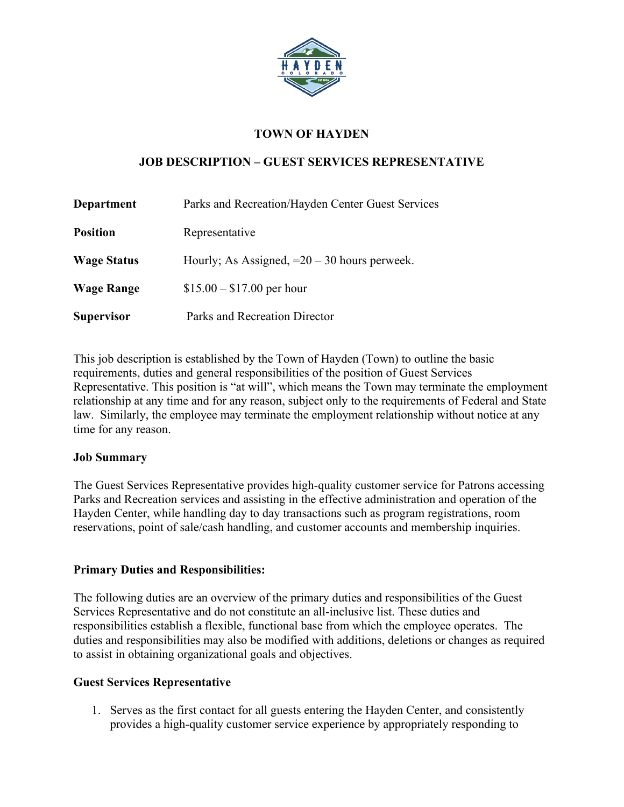

### **TOWN OF HAYDEN**

### **JOB DESCRIPTION – GUEST SERVICES REPRESENTATIVE**

| <b>Department</b>  | Parks and Recreation/Hayden Center Guest Services |
|--------------------|---------------------------------------------------|
| <b>Position</b>    | Representative                                    |
| <b>Wage Status</b> | Hourly; As Assigned, $=20-30$ hours perweek.      |
| <b>Wage Range</b>  | $$15.00 - $17.00$ per hour                        |
| <b>Supervisor</b>  | Parks and Recreation Director                     |

This job description is established by the Town of Hayden (Town) to outline the basic requirements, duties and general responsibilities of the position of Guest Services Representative. This position is "at will", which means the Town may terminate the employment relationship at any time and for any reason, subject only to the requirements of Federal and State law. Similarly, the employee may terminate the employment relationship without notice at any time for any reason.

#### **Job Summary**

The Guest Services Representative provides high-quality customer service for Patrons accessing Parks and Recreation services and assisting in the effective administration and operation of the Hayden Center, while handling day to day transactions such as program registrations, room reservations, point of sale/cash handling, and customer accounts and membership inquiries.

### **Primary Duties and Responsibilities:**

The following duties are an overview of the primary duties and responsibilities of the Guest Services Representative and do not constitute an all-inclusive list. These duties and responsibilities establish a flexible, functional base from which the employee operates. The duties and responsibilities may also be modified with additions, deletions or changes as required to assist in obtaining organizational goals and objectives.

### **Guest Services Representative**

1. Serves as the first contact for all guests entering the Hayden Center, and consistently provides a high-quality customer service experience by appropriately responding to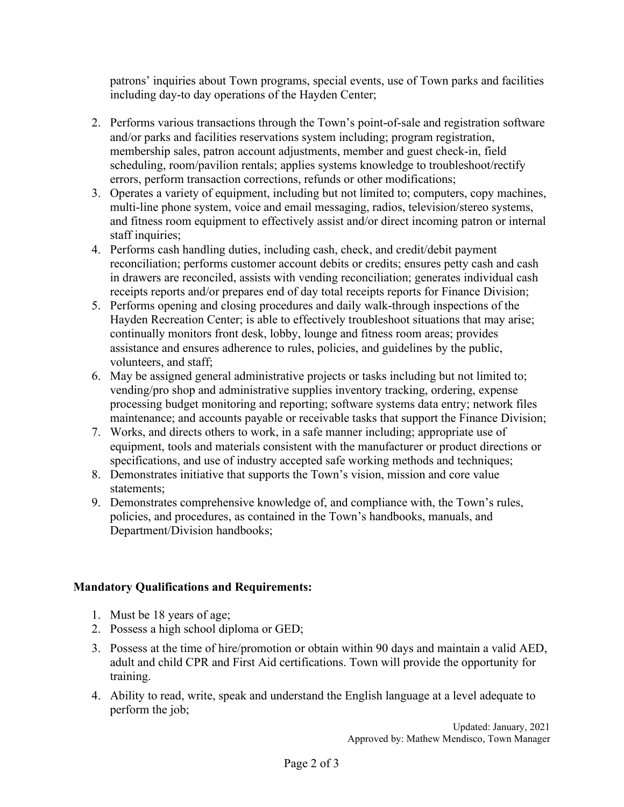patrons' inquiries about Town programs, special events, use of Town parks and facilities including day-to day operations of the Hayden Center;

- 2. Performs various transactions through the Town's point-of-sale and registration software and/or parks and facilities reservations system including; program registration, membership sales, patron account adjustments, member and guest check-in, field scheduling, room/pavilion rentals; applies systems knowledge to troubleshoot/rectify errors, perform transaction corrections, refunds or other modifications;
- 3. Operates a variety of equipment, including but not limited to; computers, copy machines, multi-line phone system, voice and email messaging, radios, television/stereo systems, and fitness room equipment to effectively assist and/or direct incoming patron or internal staff inquiries;
- 4. Performs cash handling duties, including cash, check, and credit/debit payment reconciliation; performs customer account debits or credits; ensures petty cash and cash in drawers are reconciled, assists with vending reconciliation; generates individual cash receipts reports and/or prepares end of day total receipts reports for Finance Division;
- 5. Performs opening and closing procedures and daily walk-through inspections of the Hayden Recreation Center; is able to effectively troubleshoot situations that may arise; continually monitors front desk, lobby, lounge and fitness room areas; provides assistance and ensures adherence to rules, policies, and guidelines by the public, volunteers, and staff;
- 6. May be assigned general administrative projects or tasks including but not limited to; vending/pro shop and administrative supplies inventory tracking, ordering, expense processing budget monitoring and reporting; software systems data entry; network files maintenance; and accounts payable or receivable tasks that support the Finance Division;
- 7. Works, and directs others to work, in a safe manner including; appropriate use of equipment, tools and materials consistent with the manufacturer or product directions or specifications, and use of industry accepted safe working methods and techniques;
- 8. Demonstrates initiative that supports the Town's vision, mission and core value statements;
- 9. Demonstrates comprehensive knowledge of, and compliance with, the Town's rules, policies, and procedures, as contained in the Town's handbooks, manuals, and Department/Division handbooks;

### **Mandatory Qualifications and Requirements:**

- 1. Must be 18 years of age;
- 2. Possess a high school diploma or GED;
- 3. Possess at the time of hire/promotion or obtain within 90 days and maintain a valid AED, adult and child CPR and First Aid certifications. Town will provide the opportunity for training.
- 4. Ability to read, write, speak and understand the English language at a level adequate to perform the job;